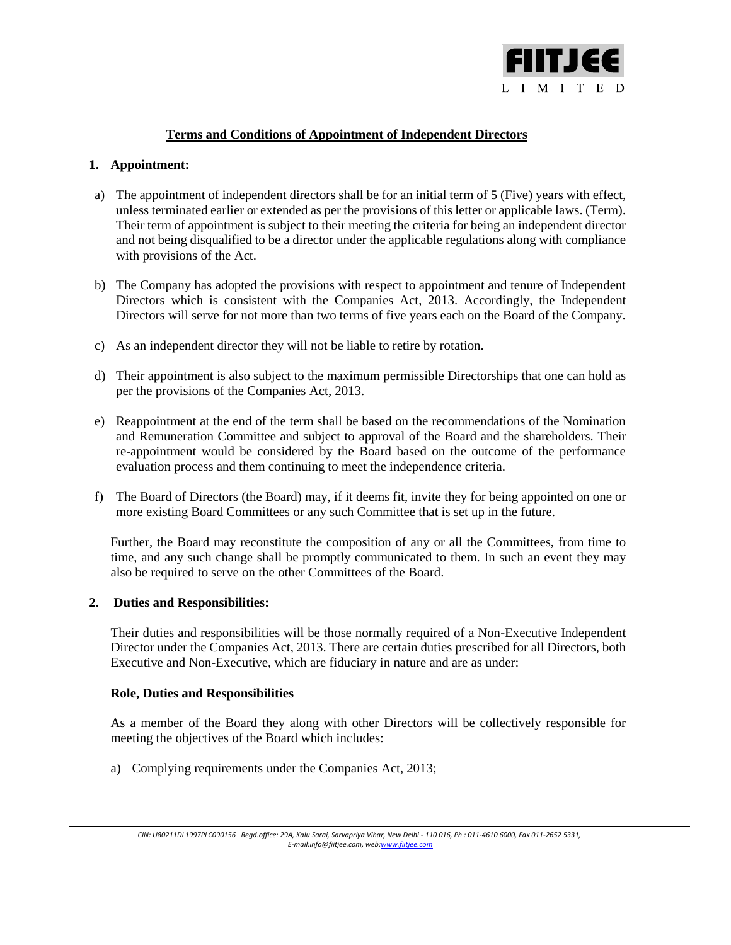

# **Terms and Conditions of Appointment of Independent Directors**

## **1. Appointment:**

l

- a) The appointment of independent directors shall be for an initial term of 5 (Five) years with effect, unless terminated earlier or extended as per the provisions of this letter or applicable laws. (Term). Their term of appointment is subject to their meeting the criteria for being an independent director and not being disqualified to be a director under the applicable regulations along with compliance with provisions of the Act.
- b) The Company has adopted the provisions with respect to appointment and tenure of Independent Directors which is consistent with the Companies Act, 2013. Accordingly, the Independent Directors will serve for not more than two terms of five years each on the Board of the Company.
- c) As an independent director they will not be liable to retire by rotation.
- d) Their appointment is also subject to the maximum permissible Directorships that one can hold as per the provisions of the Companies Act, 2013.
- e) Reappointment at the end of the term shall be based on the recommendations of the Nomination and Remuneration Committee and subject to approval of the Board and the shareholders. Their re-appointment would be considered by the Board based on the outcome of the performance evaluation process and them continuing to meet the independence criteria.
- f) The Board of Directors (the Board) may, if it deems fit, invite they for being appointed on one or more existing Board Committees or any such Committee that is set up in the future.

Further, the Board may reconstitute the composition of any or all the Committees, from time to time, and any such change shall be promptly communicated to them. In such an event they may also be required to serve on the other Committees of the Board.

#### **2. Duties and Responsibilities:**

Their duties and responsibilities will be those normally required of a Non-Executive Independent Director under the Companies Act, 2013. There are certain duties prescribed for all Directors, both Executive and Non-Executive, which are fiduciary in nature and are as under:

#### **Role, Duties and Responsibilities**

As a member of the Board they along with other Directors will be collectively responsible for meeting the objectives of the Board which includes:

a) Complying requirements under the Companies Act, 2013;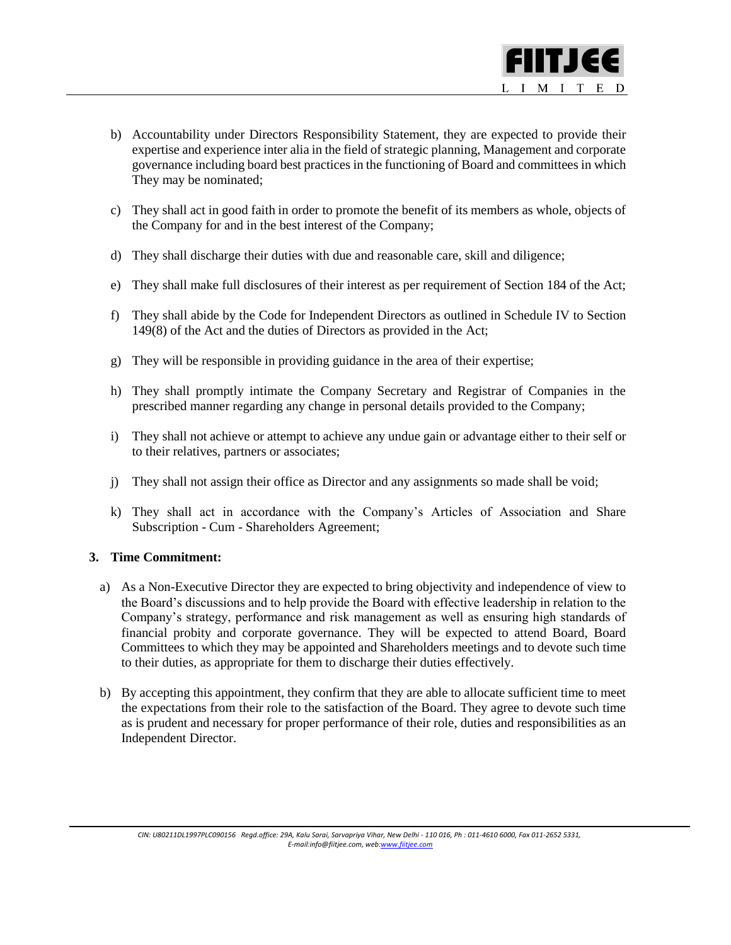

- b) Accountability under Directors Responsibility Statement, they are expected to provide their expertise and experience inter alia in the field of strategic planning, Management and corporate governance including board best practices in the functioning of Board and committees in which They may be nominated;
- c) They shall act in good faith in order to promote the benefit of its members as whole, objects of the Company for and in the best interest of the Company;
- d) They shall discharge their duties with due and reasonable care, skill and diligence;
- e) They shall make full disclosures of their interest as per requirement of Section 184 of the Act;
- f) They shall abide by the Code for Independent Directors as outlined in Schedule IV to Section 149(8) of the Act and the duties of Directors as provided in the Act;
- g) They will be responsible in providing guidance in the area of their expertise;
- h) They shall promptly intimate the Company Secretary and Registrar of Companies in the prescribed manner regarding any change in personal details provided to the Company;
- i) They shall not achieve or attempt to achieve any undue gain or advantage either to their self or to their relatives, partners or associates;
- j) They shall not assign their office as Director and any assignments so made shall be void;
- k) They shall act in accordance with the Company's Articles of Association and Share Subscription - Cum - Shareholders Agreement;

## **3. Time Commitment:**

l

- a) As a Non-Executive Director they are expected to bring objectivity and independence of view to the Board's discussions and to help provide the Board with effective leadership in relation to the Company's strategy, performance and risk management as well as ensuring high standards of financial probity and corporate governance. They will be expected to attend Board, Board Committees to which they may be appointed and Shareholders meetings and to devote such time to their duties, as appropriate for them to discharge their duties effectively.
- b) By accepting this appointment, they confirm that they are able to allocate sufficient time to meet the expectations from their role to the satisfaction of the Board. They agree to devote such time as is prudent and necessary for proper performance of their role, duties and responsibilities as an Independent Director.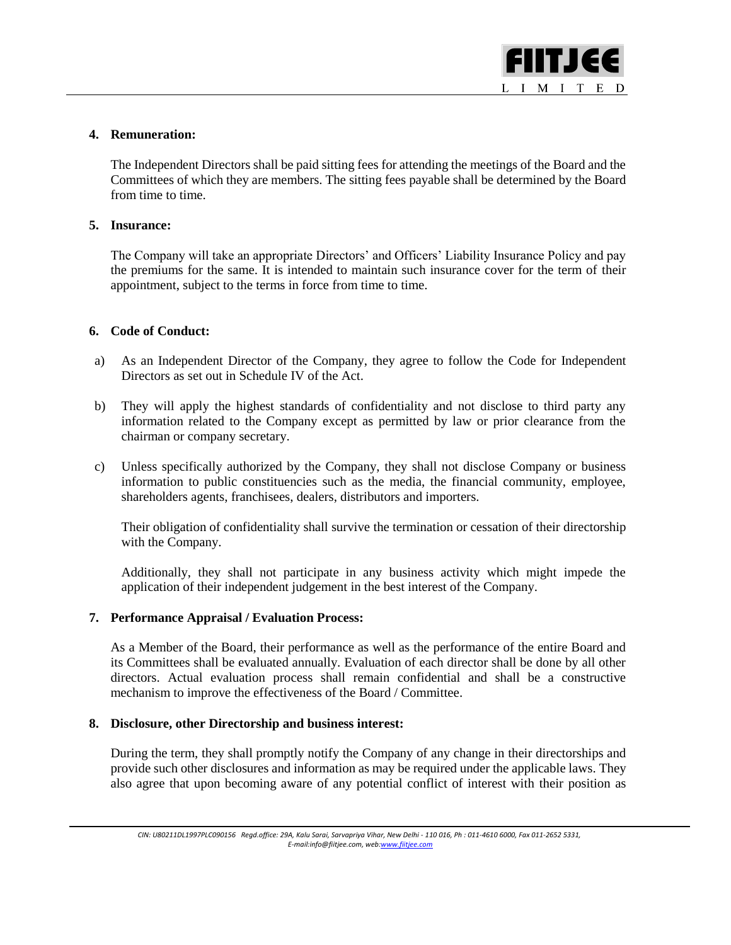

## **4. Remuneration:**

l

The Independent Directors shall be paid sitting fees for attending the meetings of the Board and the Committees of which they are members. The sitting fees payable shall be determined by the Board from time to time.

## **5. Insurance:**

The Company will take an appropriate Directors' and Officers' Liability Insurance Policy and pay the premiums for the same. It is intended to maintain such insurance cover for the term of their appointment, subject to the terms in force from time to time.

## **6. Code of Conduct:**

- a) As an Independent Director of the Company, they agree to follow the Code for Independent Directors as set out in Schedule IV of the Act.
- b) They will apply the highest standards of confidentiality and not disclose to third party any information related to the Company except as permitted by law or prior clearance from the chairman or company secretary.
- c) Unless specifically authorized by the Company, they shall not disclose Company or business information to public constituencies such as the media, the financial community, employee, shareholders agents, franchisees, dealers, distributors and importers.

Their obligation of confidentiality shall survive the termination or cessation of their directorship with the Company.

Additionally, they shall not participate in any business activity which might impede the application of their independent judgement in the best interest of the Company.

## **7. Performance Appraisal / Evaluation Process:**

As a Member of the Board, their performance as well as the performance of the entire Board and its Committees shall be evaluated annually. Evaluation of each director shall be done by all other directors. Actual evaluation process shall remain confidential and shall be a constructive mechanism to improve the effectiveness of the Board / Committee.

## **8. Disclosure, other Directorship and business interest:**

During the term, they shall promptly notify the Company of any change in their directorships and provide such other disclosures and information as may be required under the applicable laws. They also agree that upon becoming aware of any potential conflict of interest with their position as